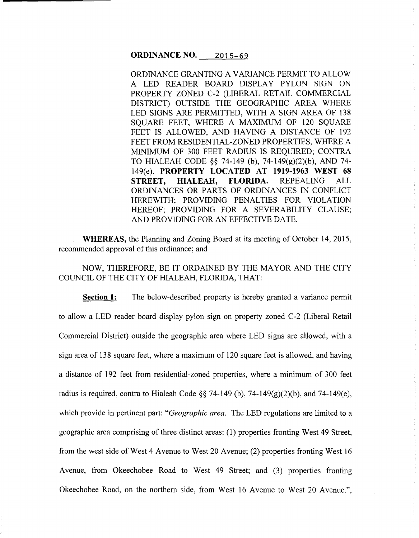# **ORDINANCE NO.** 2015-69

ORDINANCE GRANTING A VARIANCE PERMIT TO ALLOW A LED READER BOARD DISPLAY PYLON SIGN ON PROPERTY ZONED C-2 (LIBERAL RETAIL COMMERCIAL DISTRICT) OUTSIDE THE GEOGRAPHIC AREA WHERE LED SIGNS ARE PERMITTED, WITH A SIGN AREA OF 138 SOUARE FEET, WHERE A MAXIMUM OF 120 SOUARE FEET IS ALLOWED, AND HAVING A DISTANCE OF 192 FEET FROM RESIDENTIAL-ZONED PROPERTIES, WHERE A MINIMUM OF 300 FEET RADIUS IS REQUIRED; CONTRA TO HIALEAH CODE §§ 74-149 (b), 74-149(g)(2)(b), AND 74- 149(e). **PROPERTY LOCATED AT 1919-1963 WEST 68 STREET, HIALEAH, FLORIDA.** REPEALING ALL ORDINANCES OR PARTS OF ORDINANCES IN CONFLICT HEREWITH; PROVIDING PENALTIES FOR VIOLATION HEREOF; PROVIDING FOR A SEVERABILITY CLAUSE; AND PROVIDING FOR AN EFFECTIVE DATE.

**WHEREAS,** the Planning and Zoning Board at its meeting of October 14, 2015, recommended approval of this ordinance; and

NOW, THEREFORE, BE IT ORDAINED BY THE MAYOR AND THE CITY COUNCIL OF THE CITY OF HIALEAH, FLORIDA, THAT:

**Section 1:** The below-described property is hereby granted a variance permit to allow a LED reader board display pylon sign on property zoned C-2 (Liberal Retail Commercial District) outside the geographic area where LED signs are allowed, with a sign area of 138 square feet, where a maximum of 120 square feet is allowed, and having a distance of 192 feet from residential-zoned properties, where a minimum of 300 feet radius is required, contra to Hialeah Code §§ 74-149 (b), 74-149 $(g)(2)(b)$ , and 74-149 $(e)$ , which provide in pertinent part: *"Geographic area.* The LED regulations are limited to a geographic area comprising of three distinct areas: (1) properties fronting West 49 Street, from the west side of West 4 Avenue to West 20 Avenue; (2) properties fronting West 16 Avenue, from Okeechobee Road to West 49 Street; and (3) properties fronting Okeechobee Road, on the northern side, from West 16 Avenue to West 20 Avenue.",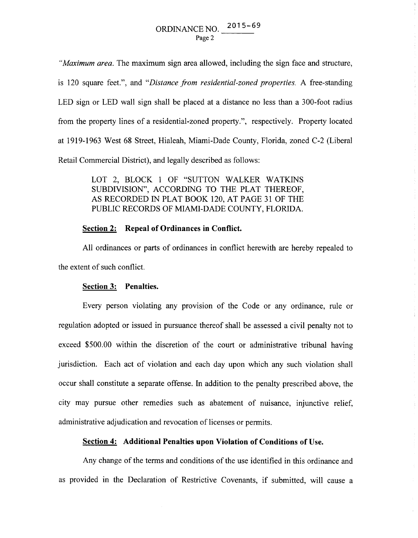*"Maximum area.* The maximum sign area allowed, including the sign face and structure, is 120 square feet.", and *"Distance from residential-zoned properties.* A free-standing LED sign or LED wall sign shall be placed at a distance no less than a 300-foot radius from the property lines of a residential-zoned property.", respectively. Property located at 1919-1963 West 68 Street, Hialeah, Miami-Dade County, Florida, zoned C-2 (Liberal Retail Commercial District), and legally described as follows:

> LOT 2, BLOCK 1 OF "SUTTON WALKER WATKINS SUBDIVISION", ACCORDING TO THE PLAT THEREOF, AS RECORDED IN PLAT BOOK 120, AT PAGE 31 OF THE PUBLIC RECORDS OF MIAMI-DADE COUNTY, FLORIDA.

## **Section 2: Repeal of Ordinances in Conflict.**

All ordinances or parts of ordinances in conflict herewith are hereby repealed to the extent of such conflict.

#### **Section 3: Penalties.**

Every person violating any provision of the Code or any ordinance, rule or regulation adopted or issued in pursuance thereof shall be assessed a civil penalty not to exceed \$500.00 within the discretion of the court or administrative tribunal having jurisdiction. Each act of violation and each day upon which any such violation shall occur shall constitute a separate offense. In addition to the penalty prescribed above, the city may pursue other remedies such as abatement of nuisance, injunctive relief, administrative adjudication and revocation of licenses or permits.

### **Section 4: Additional Penalties upon Violation of Conditions of** Use.

Any change of the terms and conditions of the use identified in this ordinance and as provided in the Declaration of Restrictive Covenants, if submitted, will cause a